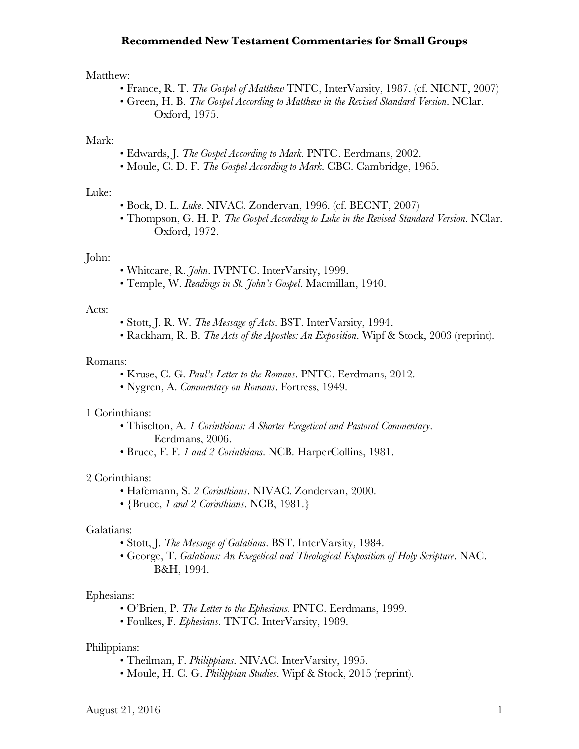# **Recommended New Testament Commentaries for Small Groups**

### Matthew:

- France, R. T. *The Gospel of Matthew* TNTC, InterVarsity, 1987. (cf. NICNT, 2007)
- Green, H. B. *The Gospel According to Matthew in the Revised Standard Version*. NClar. Oxford, 1975.

## Mark:

- Edwards, J. *The Gospel According to Mark*. PNTC. Eerdmans, 2002.
- Moule, C. D. F. *The Gospel According to Mark*. CBC. Cambridge, 1965.

### Luke:

- Bock, D. L. *Luke*. NIVAC. Zondervan, 1996. (cf. BECNT, 2007)
- Thompson, G. H. P. *The Gospel According to Luke in the Revised Standard Version*. NClar. Oxford, 1972.

#### John:

- Whitcare, R. *John*. IVPNTC. InterVarsity, 1999.
- Temple, W. *Readings in St. John's Gospel*. Macmillan, 1940.

### Acts:

- Stott, J. R. W. *The Message of Acts*. BST. InterVarsity, 1994.
- Rackham, R. B. *The Acts of the Apostles: An Exposition*. Wipf & Stock, 2003 (reprint).

#### Romans:

- Kruse, C. G. *Paul's Letter to the Romans*. PNTC. Eerdmans, 2012.
- Nygren, A. *Commentary on Romans*. Fortress, 1949.

### 1 Corinthians:

- Thiselton, A. *1 Corinthians: A Shorter Exegetical and Pastoral Commentary*. Eerdmans, 2006.
- Bruce, F. F. *1 and 2 Corinthians*. NCB. HarperCollins, 1981.

### 2 Corinthians:

- Hafemann, S. *2 Corinthians*. NIVAC. Zondervan, 2000.
- {Bruce, *1 and 2 Corinthians*. NCB, 1981.}

### Galatians:

- Stott, J. *The Message of Galatians*. BST. InterVarsity, 1984.
- George, T. *Galatians: An Exegetical and Theological Exposition of Holy Scripture*. NAC. B&H, 1994.

### Ephesians:

- O'Brien, P. *The Letter to the Ephesians*. PNTC. Eerdmans, 1999.
- Foulkes, F. *Ephesians*. TNTC. InterVarsity, 1989.

## Philippians:

- Theilman, F. *Philippians*. NIVAC. InterVarsity, 1995.
- Moule, H. C. G. *Philippian Studies*. Wipf & Stock, 2015 (reprint).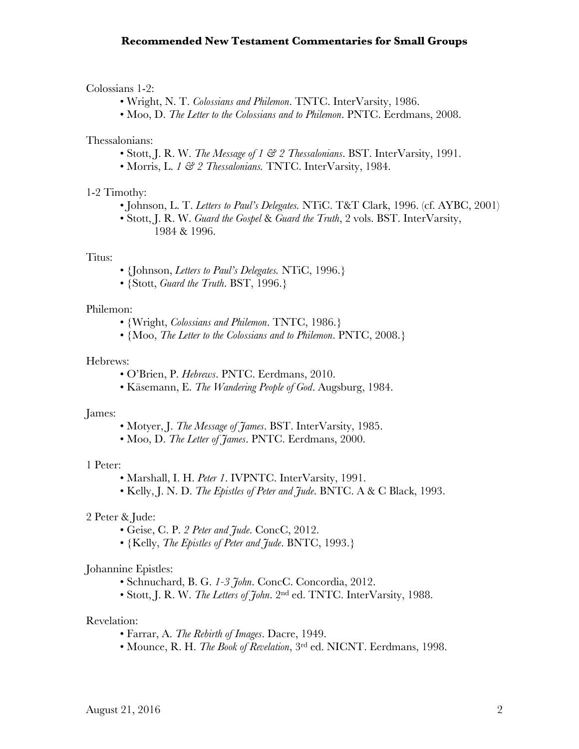# **Recommended New Testament Commentaries for Small Groups**

### Colossians 1-2:

- Wright, N. T. *Colossians and Philemon*. TNTC. InterVarsity, 1986.
- Moo, D. *The Letter to the Colossians and to Philemon*. PNTC. Eerdmans, 2008.

## Thessalonians:

- Stott, J. R. W. *The Message of 1 & 2 Thessalonians*. BST. InterVarsity, 1991.
- Morris, L. *1 & 2 Thessalonians.* TNTC. InterVarsity, 1984.

## 1-2 Timothy:

- Johnson, L. T. *Letters to Paul's Delegates.* NTiC. T&T Clark, 1996. (cf. AYBC, 2001)
- Stott, J. R. W. *Guard the Gospel* & *Guard the Truth*, 2 vols. BST. InterVarsity, 1984 & 1996.

### Titus:

- {Johnson, *Letters to Paul's Delegates.* NTiC, 1996.}
- {Stott, *Guard the Truth*. BST, 1996.}

### Philemon:

- {Wright, *Colossians and Philemon*. TNTC, 1986.}
- {Moo, *The Letter to the Colossians and to Philemon*. PNTC, 2008.}

### Hebrews:

- O'Brien, P. *Hebrews*. PNTC. Eerdmans, 2010.
- Käsemann, E. *The Wandering People of God*. Augsburg, 1984.

#### James:

- Motyer, J. *The Message of James*. BST. InterVarsity, 1985.
- Moo, D. *The Letter of James*. PNTC. Eerdmans, 2000.

### 1 Peter:

- Marshall, I. H. *Peter 1*. IVPNTC. InterVarsity, 1991.
- Kelly, J. N. D. *The Epistles of Peter and Jude*. BNTC. A & C Black, 1993.

## 2 Peter & Jude:

- Geise, C. P. *2 Peter and Jude*. ConcC, 2012.
- {Kelly, *The Epistles of Peter and Jude*. BNTC, 1993.}

### Johannine Epistles:

- Schnuchard, B. G. *1-3 John*. ConcC. Concordia, 2012.
- Stott, J. R. W. *The Letters of John*. 2nd ed. TNTC. InterVarsity, 1988.

### Revelation:

- Farrar, A. *The Rebirth of Images*. Dacre, 1949.
- Mounce, R. H. *The Book of Revelation*, 3rd ed. NICNT. Eerdmans, 1998.